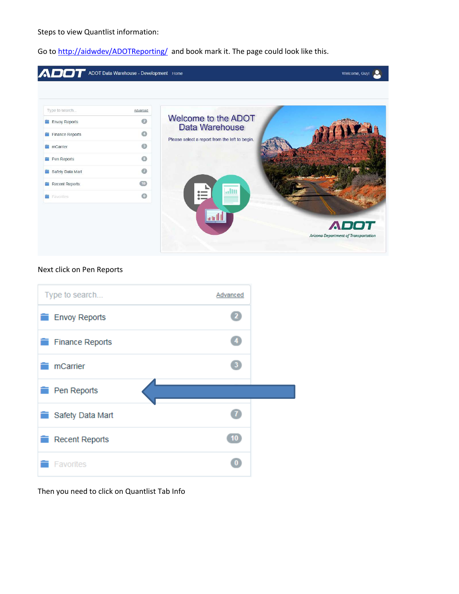Steps to view Quantlist information:

Go t[o http://aidwdev/ADOTReporting/](http://aidwdev/ADOTReporting/) and book mark it. The page could look like this.



## Next click on Pen Reports



Then you need to click on Quantlist Tab Info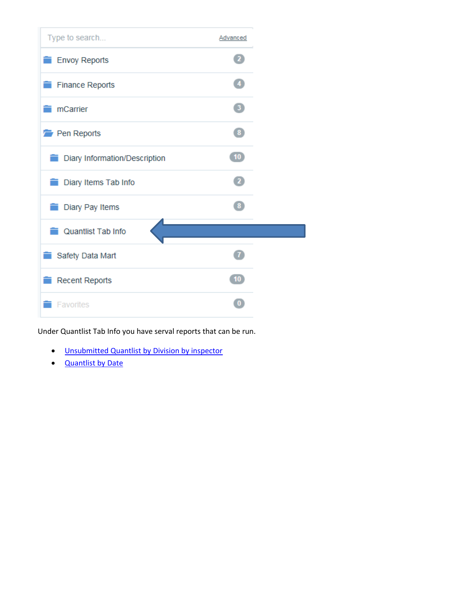

Under Quantlist Tab Info you have serval reports that can be run.

- [Unsubmitted Quantlist by Division by inspector](#page-2-0)
- [Quantlist by Date](#page-4-0)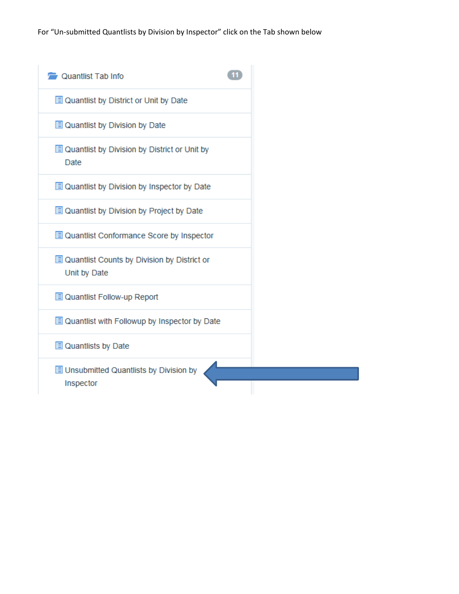<span id="page-2-0"></span>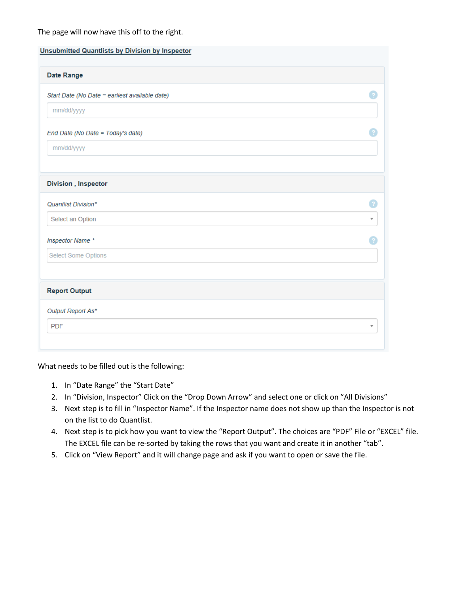## The page will now have this off to the right.

| <b>Unsubmitted Quantlists by Division by Inspector</b> |                         |
|--------------------------------------------------------|-------------------------|
| <b>Date Range</b>                                      |                         |
| Start Date (No Date = earliest available date)         |                         |
| mm/dd/yyyy                                             |                         |
| End Date (No Date = Today's date)                      |                         |
| mm/dd/yyyy                                             |                         |
|                                                        |                         |
| <b>Division</b> , Inspector                            |                         |
| Quantlist Division*                                    | 2.                      |
| Select an Option                                       | $\overline{\mathbf{v}}$ |
| Inspector Name *                                       |                         |
| Select Some Options                                    |                         |
|                                                        |                         |
| <b>Report Output</b>                                   |                         |
| Output Report As*                                      |                         |
| <b>PDF</b>                                             | ▼                       |
|                                                        |                         |

What needs to be filled out is the following:

- 1. In "Date Range" the "Start Date"
- 2. In "Division, Inspector" Click on the "Drop Down Arrow" and select one or click on "All Divisions"
- 3. Next step is to fill in "Inspector Name". If the Inspector name does not show up than the Inspector is not on the list to do Quantlist.
- 4. Next step is to pick how you want to view the "Report Output". The choices are "PDF" File or "EXCEL" file. The EXCEL file can be re-sorted by taking the rows that you want and create it in another "tab".
- 5. Click on "View Report" and it will change page and ask if you want to open or save the file.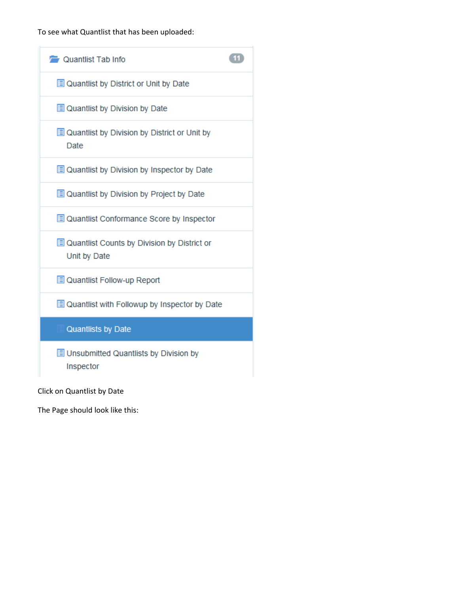To see what Quantlist that has been uploaded:

<span id="page-4-0"></span>

Click on Quantlist by Date

The Page should look like this: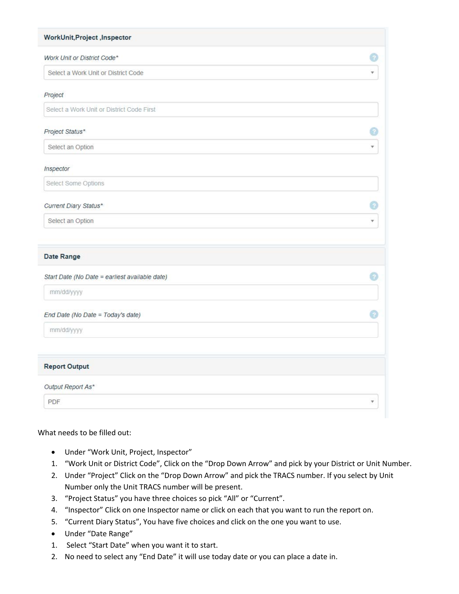| WorkUnit, Project, Inspector                   |    |
|------------------------------------------------|----|
| Work Unit or District Code*                    |    |
| Select a Work Unit or District Code            | ψ. |
| Project                                        |    |
| Select a Work Unit or District Code First      |    |
| Project Status*                                |    |
| Select an Option                               |    |
| Inspector                                      |    |
| Select Some Options                            |    |
| Current Diary Status*                          |    |
| Select an Option                               |    |
| Date Range                                     |    |
| Start Date (No Date = earliest available date) | Ð. |
| mm/dd/yyyy                                     |    |
| End Date (No Date = Today's date)              |    |
| mm/dd/yyyy                                     |    |
| <b>Report Output</b>                           |    |
| Output Report As*                              |    |
| <b>PDF</b>                                     | ۷  |

## What needs to be filled out:

- Under "Work Unit, Project, Inspector"
- 1. "Work Unit or District Code", Click on the "Drop Down Arrow" and pick by your District or Unit Number.
- 2. Under "Project" Click on the "Drop Down Arrow" and pick the TRACS number. If you select by Unit Number only the Unit TRACS number will be present.
- 3. "Project Status" you have three choices so pick "All" or "Current".
- 4. "Inspector" Click on one Inspector name or click on each that you want to run the report on.
- 5. "Current Diary Status", You have five choices and click on the one you want to use.
- Under "Date Range"
- 1. Select "Start Date" when you want it to start.
- 2. No need to select any "End Date" it will use today date or you can place a date in.